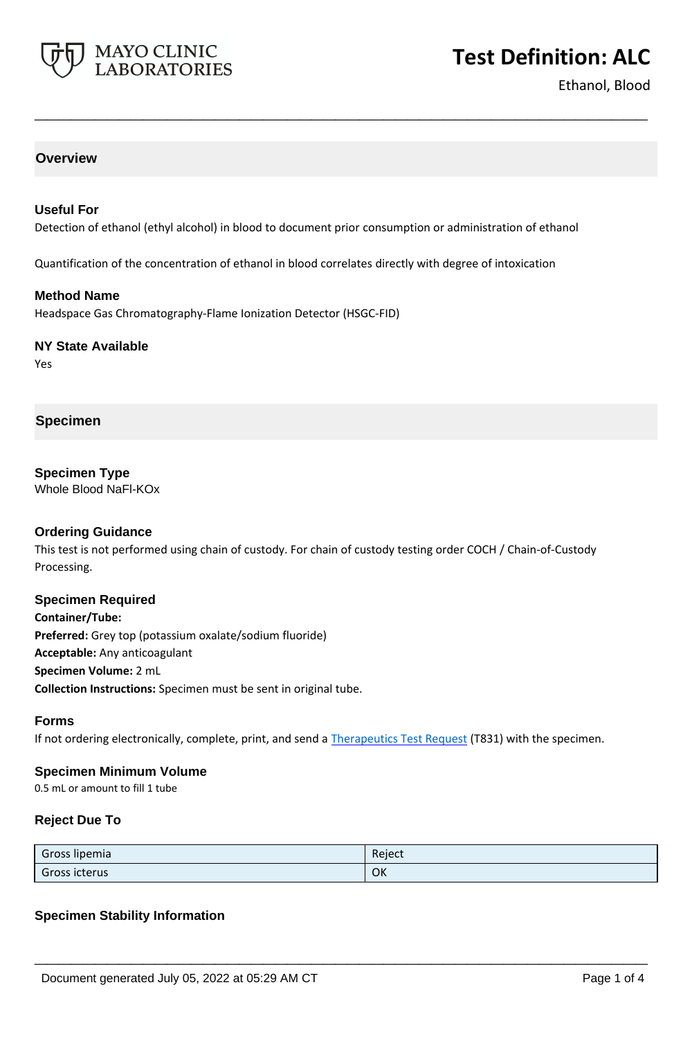

# **Test Definition: ALC**

Ethanol, Blood

# **Overview**

## **Useful For**

Detection of ethanol (ethyl alcohol) in blood to document prior consumption or administration of ethanol

**\_\_\_\_\_\_\_\_\_\_\_\_\_\_\_\_\_\_\_\_\_\_\_\_\_\_\_\_\_\_\_\_\_\_\_\_\_\_\_\_\_\_\_\_\_\_\_\_\_\_\_**

Quantification of the concentration of ethanol in blood correlates directly with degree of intoxication

### **Method Name**

Headspace Gas Chromatography-Flame Ionization Detector (HSGC-FID)

#### **NY State Available**

Yes

### **Specimen**

**Specimen Type** Whole Blood NaFl-KOx

#### **Ordering Guidance**

This test is not performed using chain of custody. For chain of custody testing order COCH / Chain-of-Custody Processing.

#### **Specimen Required**

**Container/Tube: Preferred:** Grey top (potassium oxalate/sodium fluoride) **Acceptable:** Any anticoagulant **Specimen Volume:** 2 mL **Collection Instructions:** Specimen must be sent in original tube.

#### **Forms**

If not ordering electronically, complete, print, and send a [Therapeutics Test Request](https://www.mayocliniclabs.com/it-mmfiles/Therapeutics-Requisition-Request-Form_MC0767-19.pdf) (T831) with the specimen.

#### **Specimen Minimum Volume**

0.5 mL or amount to fill 1 tube

#### **Reject Due To**

| Gross lipemia | Reject |
|---------------|--------|
| Gross icterus | OK     |

**\_\_\_\_\_\_\_\_\_\_\_\_\_\_\_\_\_\_\_\_\_\_\_\_\_\_\_\_\_\_\_\_\_\_\_\_\_\_\_\_\_\_\_\_\_\_\_\_\_\_\_**

## **Specimen Stability Information**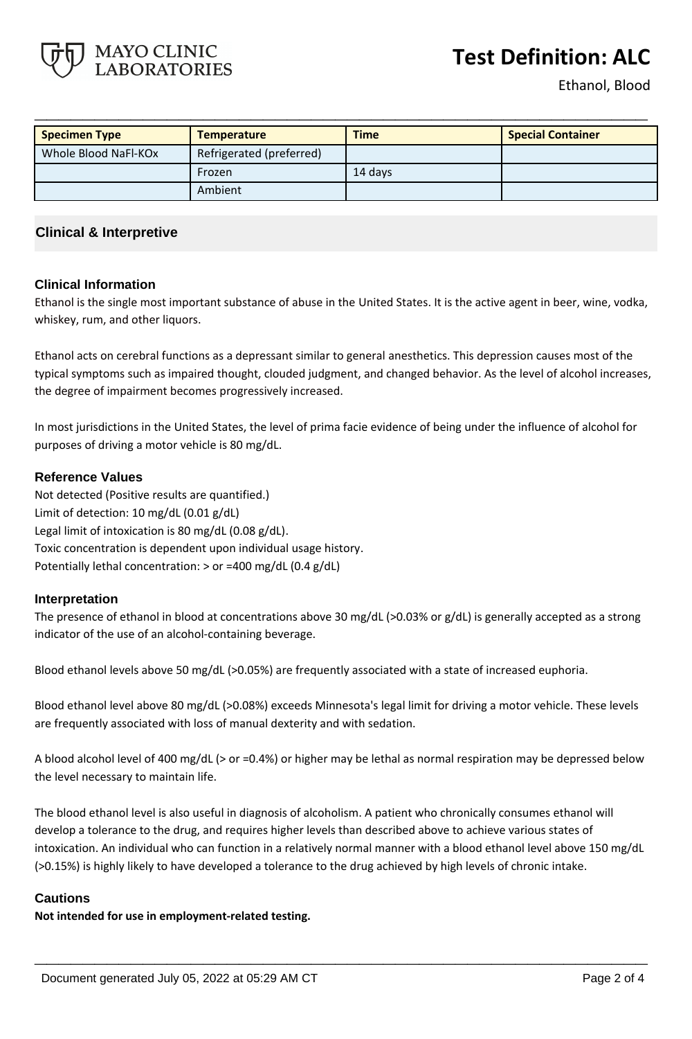# **Test Definition: ALC**



| <b>Specimen Type</b> | <b>Temperature</b>       | <b>Time</b> | <b>Special Container</b> |
|----------------------|--------------------------|-------------|--------------------------|
| Whole Blood NaFl-KOx | Refrigerated (preferred) |             |                          |
|                      | Frozen                   | 14 days     |                          |
|                      | Ambient                  |             |                          |

# **Clinical & Interpretive**

MAYO CLINIC **BORATORIES** 

## **Clinical Information**

Ethanol is the single most important substance of abuse in the United States. It is the active agent in beer, wine, vodka, whiskey, rum, and other liquors.

Ethanol acts on cerebral functions as a depressant similar to general anesthetics. This depression causes most of the typical symptoms such as impaired thought, clouded judgment, and changed behavior. As the level of alcohol increases, the degree of impairment becomes progressively increased.

In most jurisdictions in the United States, the level of prima facie evidence of being under the influence of alcohol for purposes of driving a motor vehicle is 80 mg/dL.

### **Reference Values**

Not detected (Positive results are quantified.) Limit of detection: 10 mg/dL (0.01 g/dL) Legal limit of intoxication is 80 mg/dL (0.08 g/dL). Toxic concentration is dependent upon individual usage history. Potentially lethal concentration: > or =400 mg/dL (0.4 g/dL)

## **Interpretation**

The presence of ethanol in blood at concentrations above 30 mg/dL (>0.03% or g/dL) is generally accepted as a strong indicator of the use of an alcohol-containing beverage.

Blood ethanol levels above 50 mg/dL (>0.05%) are frequently associated with a state of increased euphoria.

Blood ethanol level above 80 mg/dL (>0.08%) exceeds Minnesota's legal limit for driving a motor vehicle. These levels are frequently associated with loss of manual dexterity and with sedation.

A blood alcohol level of 400 mg/dL (> or =0.4%) or higher may be lethal as normal respiration may be depressed below the level necessary to maintain life.

The blood ethanol level is also useful in diagnosis of alcoholism. A patient who chronically consumes ethanol will develop a tolerance to the drug, and requires higher levels than described above to achieve various states of intoxication. An individual who can function in a relatively normal manner with a blood ethanol level above 150 mg/dL (>0.15%) is highly likely to have developed a tolerance to the drug achieved by high levels of chronic intake.

**\_\_\_\_\_\_\_\_\_\_\_\_\_\_\_\_\_\_\_\_\_\_\_\_\_\_\_\_\_\_\_\_\_\_\_\_\_\_\_\_\_\_\_\_\_\_\_\_\_\_\_**

## **Cautions**

**Not intended for use in employment-related testing.**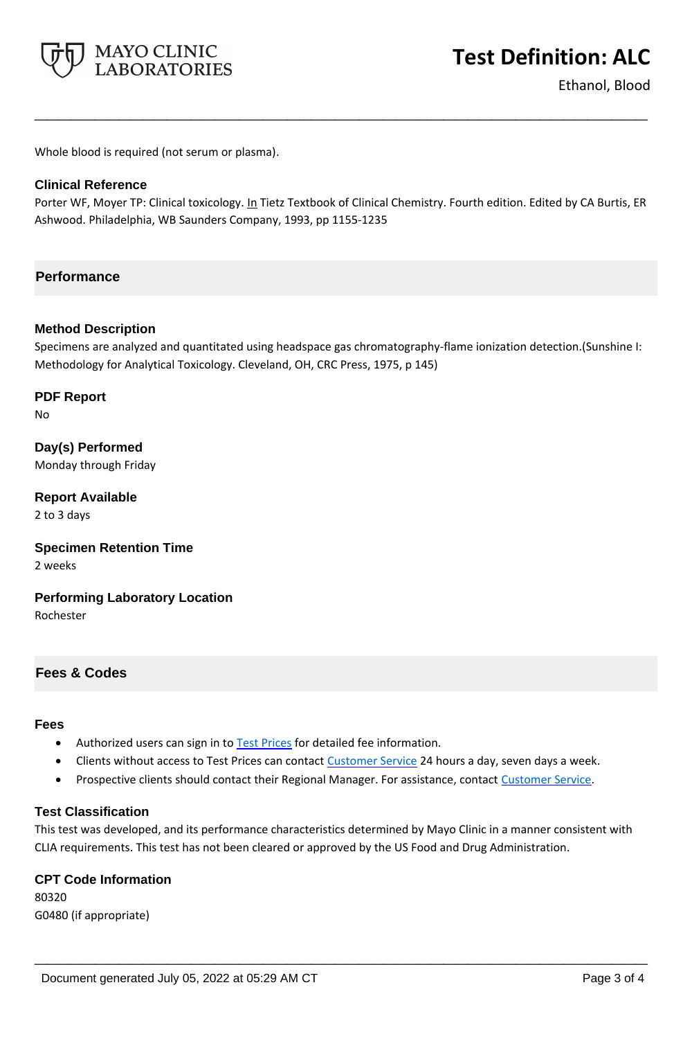

Ethanol, Blood

Whole blood is required (not serum or plasma).

# **Clinical Reference**

Porter WF, Moyer TP: Clinical toxicology. In Tietz Textbook of Clinical Chemistry. Fourth edition. Edited by CA Burtis, ER Ashwood. Philadelphia, WB Saunders Company, 1993, pp 1155-1235

**\_\_\_\_\_\_\_\_\_\_\_\_\_\_\_\_\_\_\_\_\_\_\_\_\_\_\_\_\_\_\_\_\_\_\_\_\_\_\_\_\_\_\_\_\_\_\_\_\_\_\_**

# **Performance**

## **Method Description**

Specimens are analyzed and quantitated using headspace gas chromatography-flame ionization detection.(Sunshine I: Methodology for Analytical Toxicology. Cleveland, OH, CRC Press, 1975, p 145)

**PDF Report** No

**Day(s) Performed** Monday through Friday

**Report Available** 2 to 3 days

**Specimen Retention Time** 2 weeks

**Performing Laboratory Location** Rochester

## **Fees & Codes**

#### **Fees**

- Authorized users can sign in to [Test Prices](https://www.mayocliniclabs.com/customer-service/client-price-lookup/index.html?unit_code=ALC) for detailed fee information.
- Clients without access to Test Prices can contact [Customer Service](http://www.mayocliniclabs.com/customer-service/contacts.html) 24 hours a day, seven days a week.
- **Prospective clients should contact their Regional Manager. For assistance, contact [Customer Service.](http://www.mayocliniclabs.com/customer-service/contacts.html)**

### **Test Classification**

This test was developed, and its performance characteristics determined by Mayo Clinic in a manner consistent with CLIA requirements. This test has not been cleared or approved by the US Food and Drug Administration.

**\_\_\_\_\_\_\_\_\_\_\_\_\_\_\_\_\_\_\_\_\_\_\_\_\_\_\_\_\_\_\_\_\_\_\_\_\_\_\_\_\_\_\_\_\_\_\_\_\_\_\_**

#### **CPT Code Information**

80320 G0480 (if appropriate)